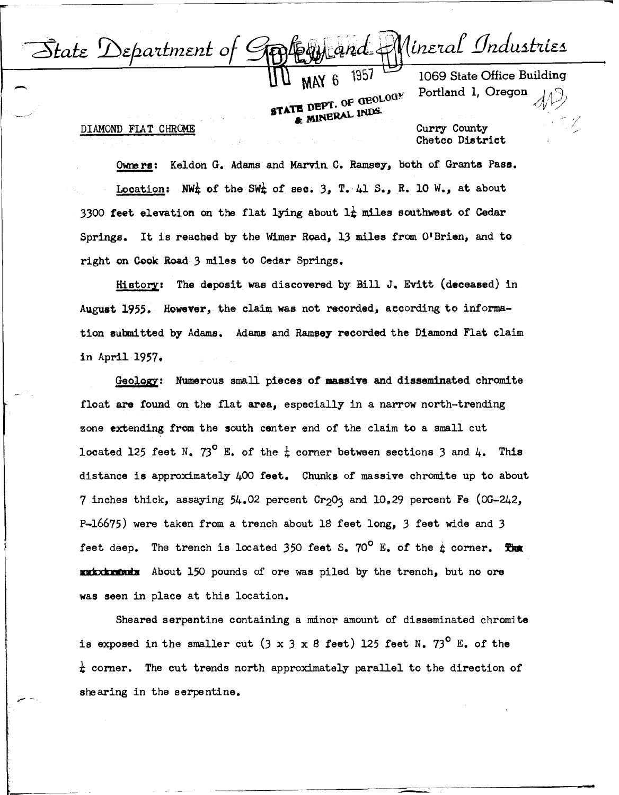

**STATE DEPT. OF GEOLOGY** 

---------~----------------------------------------------,

1069 State Office Building Portland 1, Oregon

DIAMOND FIAT CHROME

Curry County Chetco District

Owners: Keldon G. Adams and Marvin C. Ramsey, both of Grants Pass. Location: NW<sup>k</sup> of the SW<sub>k</sub> of sec. 3, T. 41 S., R. 10 W., at about 3300 feet elevation on the flat lying about  $l\frac{1}{k}$  miles southwest of Cedar Springs. It is reached by the Wimer Road, 13 miles from O'Brien, and to right on Cook Road 3 miles to Cedar Springs.

Hiatorz: The deposit was discovered by Bill J. Evitt (deceased) in August 1955. However, the claim was not recorded, according to information submitted by Adams. Adams and Ramsey recorded the Diamond Flat claim in April 1957.

Geology: Numerous small pieces of massive and disseminated chromite float are found on the flat **area,** especially in a narrow north-trending zone extending from the south center end of the claim to a small cut located 125 feet N.  $73^{\circ}$  E. of the  $\frac{1}{k}$  corner between sections 3 and 4. This distance is approximately 400 **feet.** Chunks of massive chromite up to about 7 inches thick, assaying  $54.02$  percent  $Cr_2O_3$  and  $10.29$  percent Fe (0G-242, P-16675) were taken from a trench about 18 feet long, 3 feet wide and 3 feet deep. The trench is located 350 feet S.  $70^{\circ}$  E. of the  $\frac{1}{4}$  corner. The feet deep. The trench is located 350 feet S.  $70^{\circ}$  E. of the  $\frac{1}{k}$  corner. S.<br>About 150 pounds of ore was piled by the trench, but no ore was seen in place at this location.

Sheared serpentine containing a minor amount of disseminated chromite is exposed in the smaller cut  $(3 \times 3 \times 8$  feet) 125 feet N.  $73^{\circ}$  E. of the *t* corner. The cut trends north approximately parallel to the direction of shearing in the serpentine.